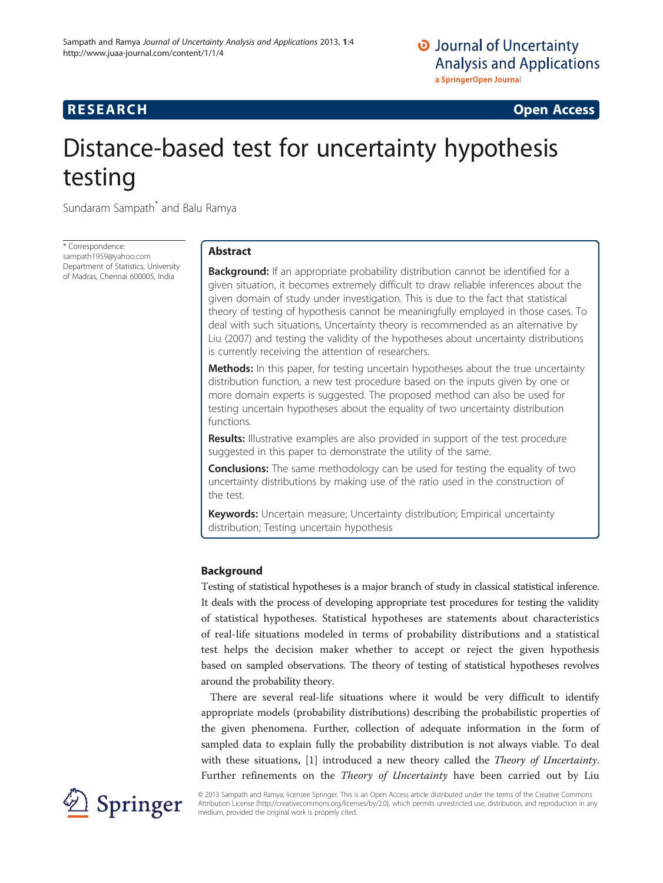# **RESEARCH CHINESE ARCH CHINESE ARCH CHINESE ARCH <b>CHINESE ARCH**

# Distance-based test for uncertainty hypothesis testing

Sundaram Sampath<sup>\*</sup> and Balu Ramya

\* Correspondence: [sampath1959@yahoo.com](mailto:sampath1959@yahoo.com) Department of Statistics, University of Madras, Chennai 600005, India

# Abstract

**Background:** If an appropriate probability distribution cannot be identified for a given situation, it becomes extremely difficult to draw reliable inferences about the given domain of study under investigation. This is due to the fact that statistical theory of testing of hypothesis cannot be meaningfully employed in those cases. To deal with such situations, Uncertainty theory is recommended as an alternative by Liu (2007) and testing the validity of the hypotheses about uncertainty distributions is currently receiving the attention of researchers.

Methods: In this paper, for testing uncertain hypotheses about the true uncertainty distribution function, a new test procedure based on the inputs given by one or more domain experts is suggested. The proposed method can also be used for testing uncertain hypotheses about the equality of two uncertainty distribution functions.

**Results:** Illustrative examples are also provided in support of the test procedure suggested in this paper to demonstrate the utility of the same.

**Conclusions:** The same methodology can be used for testing the equality of two uncertainty distributions by making use of the ratio used in the construction of the test.

Keywords: Uncertain measure; Uncertainty distribution; Empirical uncertainty distribution; Testing uncertain hypothesis

# Background

Testing of statistical hypotheses is a major branch of study in classical statistical inference. It deals with the process of developing appropriate test procedures for testing the validity of statistical hypotheses. Statistical hypotheses are statements about characteristics of real-life situations modeled in terms of probability distributions and a statistical test helps the decision maker whether to accept or reject the given hypothesis based on sampled observations. The theory of testing of statistical hypotheses revolves around the probability theory.

There are several real-life situations where it would be very difficult to identify appropriate models (probability distributions) describing the probabilistic properties of the given phenomena. Further, collection of adequate information in the form of sampled data to explain fully the probability distribution is not always viable. To deal with these situations, [[1](#page-10-0)] introduced a new theory called the *Theory of Uncertainty*. Further refinements on the *Theory of Uncertainty* have been carried out by Liu



© 2013 Sampath and Ramya; licensee Springer. This is an Open Access article distributed under the terms of the Creative Commons Attribution License [\(http://creativecommons.org/licenses/by/2.0\)](http://creativecommons.org/licenses/by/2.0), which permits unrestricted use, distribution, and reproduction in any medium, provided the original work is properly cited.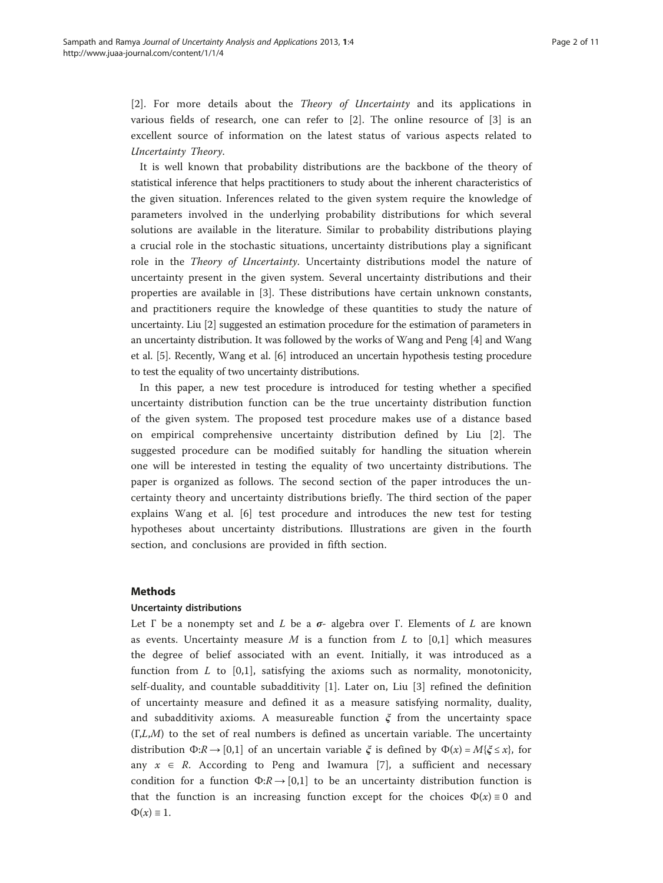[[2\]](#page-10-0). For more details about the Theory of Uncertainty and its applications in various fields of research, one can refer to [[2](#page-10-0)]. The online resource of [[3\]](#page-10-0) is an excellent source of information on the latest status of various aspects related to Uncertainty Theory.

It is well known that probability distributions are the backbone of the theory of statistical inference that helps practitioners to study about the inherent characteristics of the given situation. Inferences related to the given system require the knowledge of parameters involved in the underlying probability distributions for which several solutions are available in the literature. Similar to probability distributions playing a crucial role in the stochastic situations, uncertainty distributions play a significant role in the Theory of Uncertainty. Uncertainty distributions model the nature of uncertainty present in the given system. Several uncertainty distributions and their properties are available in [\[3](#page-10-0)]. These distributions have certain unknown constants, and practitioners require the knowledge of these quantities to study the nature of uncertainty. Liu [[2](#page-10-0)] suggested an estimation procedure for the estimation of parameters in an uncertainty distribution. It was followed by the works of Wang and Peng [[4](#page-10-0)] and Wang et al. [\[5](#page-10-0)]. Recently, Wang et al. [\[6](#page-10-0)] introduced an uncertain hypothesis testing procedure to test the equality of two uncertainty distributions.

In this paper, a new test procedure is introduced for testing whether a specified uncertainty distribution function can be the true uncertainty distribution function of the given system. The proposed test procedure makes use of a distance based on empirical comprehensive uncertainty distribution defined by Liu [\[2](#page-10-0)]. The suggested procedure can be modified suitably for handling the situation wherein one will be interested in testing the equality of two uncertainty distributions. The paper is organized as follows. The second section of the paper introduces the uncertainty theory and uncertainty distributions briefly. The third section of the paper explains Wang et al. [[6\]](#page-10-0) test procedure and introduces the new test for testing hypotheses about uncertainty distributions. Illustrations are given in the fourth section, and conclusions are provided in fifth section.

#### **Methods**

#### Uncertainty distributions

Let  $\Gamma$  be a nonempty set and L be a  $\sigma$ - algebra over  $\Gamma$ . Elements of L are known as events. Uncertainty measure  $M$  is a function from  $L$  to [0,1] which measures the degree of belief associated with an event. Initially, it was introduced as a function from  $L$  to  $[0,1]$ , satisfying the axioms such as normality, monotonicity, self-duality, and countable subadditivity [[1](#page-10-0)]. Later on, Liu [\[3](#page-10-0)] refined the definition of uncertainty measure and defined it as a measure satisfying normality, duality, and subadditivity axioms. A measureable function  $\zeta$  from the uncertainty space  $(\Gamma, L, M)$  to the set of real numbers is defined as uncertain variable. The uncertainty distribution  $\Phi: \mathbb{R} \to [0,1]$  of an uncertain variable  $\xi$  is defined by  $\Phi(x) = M\{\xi \leq x\}$ , for any  $x \in R$ . According to Peng and Iwamura [\[7](#page-10-0)], a sufficient and necessary condition for a function  $\Phi$ : $R \rightarrow [0,1]$  to be an uncertainty distribution function is that the function is an increasing function except for the choices  $\Phi(x) \equiv 0$  and  $\Phi(x) \equiv 1.$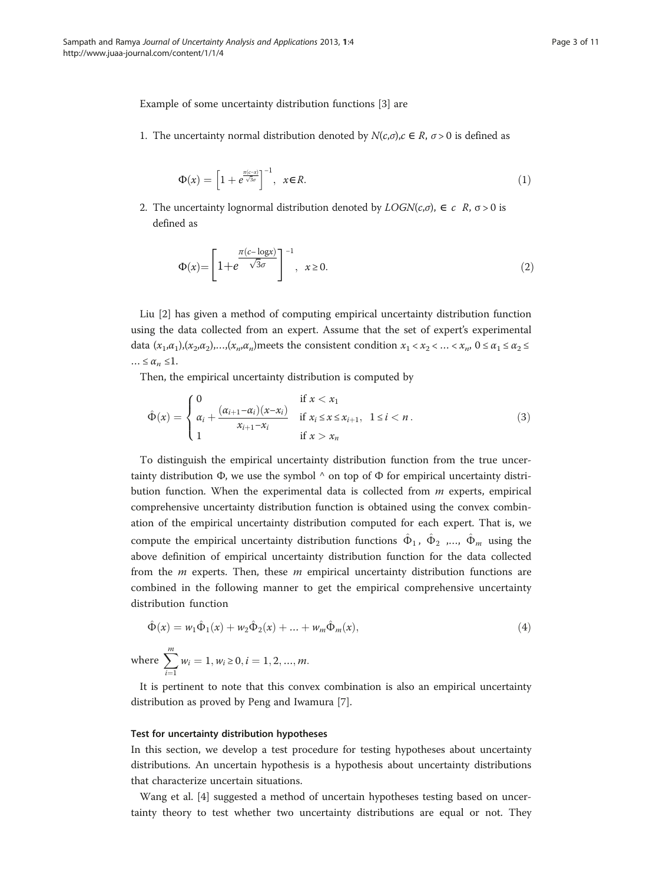<span id="page-2-0"></span>Example of some uncertainty distribution functions [[3\]](#page-10-0) are

1. The uncertainty normal distribution denoted by  $N(c,\sigma), c \in R$ ,  $\sigma > 0$  is defined as

$$
\Phi(x) = \left[1 + e^{\frac{\pi(c-x)}{\sqrt{3}\sigma}}\right]^{-1}, \quad x \in R.
$$
\n(1)

2. The uncertainty lognormal distribution denoted by  $LOGN(c,\sigma)$ ,  $\in c \ R$ ,  $\sigma > 0$  is defined as

$$
\Phi(x) = \left[1 + e^{\frac{\pi(c - \log x)}{\sqrt{3}\sigma}}\right]^{-1}, \quad x \ge 0.
$$
\n(2)

Liu [[2\]](#page-10-0) has given a method of computing empirical uncertainty distribution function using the data collected from an expert. Assume that the set of expert's experimental data  $(x_1,\alpha_1),(x_2,\alpha_2),...,(x_n,\alpha_n)$  meets the consistent condition  $x_1 < x_2 < ... < x_n$ ,  $0 \le \alpha_1 \le \alpha_2 \le$  $\ldots \leq \alpha_n \leq 1.$ 

Then, the empirical uncertainty distribution is computed by

$$
\hat{\Phi}(x) = \begin{cases}\n0 & \text{if } x < x_1 \\
\alpha_i + \frac{(\alpha_{i+1} - \alpha_i)(x - x_i)}{x_{i+1} - x_i} & \text{if } x_i \leq x \leq x_{i+1}, \ 1 \leq i < n. \\
1 & \text{if } x > x_n\n\end{cases}
$$
\n(3)

To distinguish the empirical uncertainty distribution function from the true uncertainty distribution  $\Phi$ , we use the symbol  $\wedge$  on top of  $\Phi$  for empirical uncertainty distribution function. When the experimental data is collected from  $m$  experts, empirical comprehensive uncertainty distribution function is obtained using the convex combination of the empirical uncertainty distribution computed for each expert. That is, we compute the empirical uncertainty distribution functions  $\hat{\Phi}_1$ ,  $\hat{\Phi}_2$  ,…,  $\hat{\Phi}_m$  using the above definition of empirical uncertainty distribution function for the data collected from the  $m$  experts. Then, these  $m$  empirical uncertainty distribution functions are combined in the following manner to get the empirical comprehensive uncertainty distribution function

$$
\hat{\Phi}(x) = w_1 \hat{\Phi}_1(x) + w_2 \hat{\Phi}_2(x) + \dots + w_m \hat{\Phi}_m(x),
$$
\n(4)  
\nwhere 
$$
\sum_{i=1}^m w_i = 1, w_i \ge 0, i = 1, 2, ..., m.
$$

It is pertinent to note that this convex combination is also an empirical uncertainty distribution as proved by Peng and Iwamura [\[7](#page-10-0)].

#### Test for uncertainty distribution hypotheses

In this section, we develop a test procedure for testing hypotheses about uncertainty distributions. An uncertain hypothesis is a hypothesis about uncertainty distributions that characterize uncertain situations.

Wang et al. [\[4](#page-10-0)] suggested a method of uncertain hypotheses testing based on uncertainty theory to test whether two uncertainty distributions are equal or not. They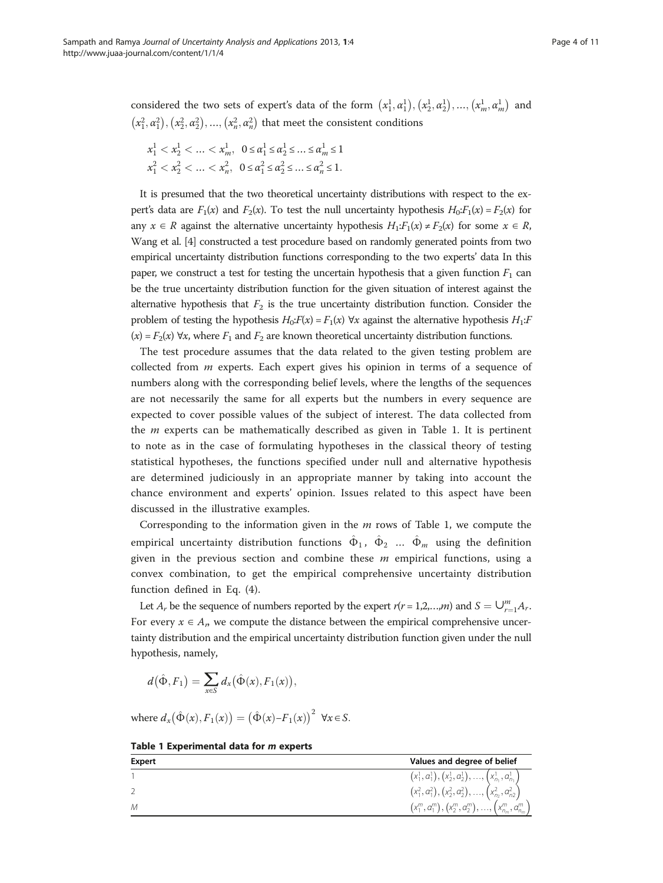considered the two sets of expert's data of the form  $(x_1^1, \alpha_1^1), (x_2^1, \alpha_2^1), ..., (x_m^1, \alpha_m^1)$  and  $(x_1^2, \alpha_1^2), (x_2^2, \alpha_2^2), ..., (x_n^2, \alpha_n^2)$  that meet the consistent conditions

$$
x_1^1 < x_2^1 < \dots < x_m^1, \ \ 0 \le a_1^1 \le a_2^1 \le \dots \le a_m^1 \le 1
$$
\n
$$
x_1^2 < x_2^2 < \dots < x_n^2, \ \ 0 \le a_1^2 \le a_2^2 \le \dots \le a_n^2 \le 1.
$$

It is presumed that the two theoretical uncertainty distributions with respect to the expert's data are  $F_1(x)$  and  $F_2(x)$ . To test the null uncertainty hypothesis  $H_0:F_1(x) = F_2(x)$  for any  $x \in R$  against the alternative uncertainty hypothesis  $H_1: F_1(x) \neq F_2(x)$  for some  $x \in R$ , Wang et al. [[4](#page-10-0)] constructed a test procedure based on randomly generated points from two empirical uncertainty distribution functions corresponding to the two experts' data In this paper, we construct a test for testing the uncertain hypothesis that a given function  $F_1$  can be the true uncertainty distribution function for the given situation of interest against the alternative hypothesis that  $F_2$  is the true uncertainty distribution function. Consider the problem of testing the hypothesis  $H_0$ : $F(x) = F_1(x)$   $\forall x$  against the alternative hypothesis  $H_1$ :  $(x) = F_2(x) \,\forall x$ , where  $F_1$  and  $F_2$  are known theoretical uncertainty distribution functions.

The test procedure assumes that the data related to the given testing problem are collected from  $m$  experts. Each expert gives his opinion in terms of a sequence of numbers along with the corresponding belief levels, where the lengths of the sequences are not necessarily the same for all experts but the numbers in every sequence are expected to cover possible values of the subject of interest. The data collected from the  $m$  experts can be mathematically described as given in Table 1. It is pertinent to note as in the case of formulating hypotheses in the classical theory of testing statistical hypotheses, the functions specified under null and alternative hypothesis are determined judiciously in an appropriate manner by taking into account the chance environment and experts' opinion. Issues related to this aspect have been discussed in the illustrative examples.

Corresponding to the information given in the  $m$  rows of Table 1, we compute the empirical uncertainty distribution functions  $\hat{\Phi}_1$ ,  $\hat{\Phi}_2$  ...  $\hat{\Phi}_m$  using the definition given in the previous section and combine these  $m$  empirical functions, using a convex combination, to get the empirical comprehensive uncertainty distribution function defined in Eq. ([4\)](#page-2-0).

Let  $A_r$  be the sequence of numbers reported by the expert  $r(r = 1, 2, ..., m)$  and  $S = \bigcup_{r=1}^{m} A_r$ . For every  $x \in A_n$ , we compute the distance between the empirical comprehensive uncertainty distribution and the empirical uncertainty distribution function given under the null hypothesis, namely,

$$
d(\hat{\Phi}, F_1) = \sum_{x \in S} d_x(\hat{\Phi}(x), F_1(x)),
$$

where  $d_x(\hat{\Phi}(x), F_1(x)) = (\hat{\Phi}(x) - F_1(x))^2 \quad \forall x \in S.$ 

| Expert | Values and degree of belief                                |
|--------|------------------------------------------------------------|
|        | $(x_1^1, a_1^1), (x_2^1, a_2^1), , (x_{n_1}^1, a_{n_1}^1)$ |
|        | $(x_1^2, a_1^2), (x_2^2, a_2^2), , (x_{n_2}^2, a_{n_2}^2)$ |
| M      | $(x_1^m, a_1^m), (x_2^m, a_2^m), , (x_{n_m}^m, a_{n_m}^m)$ |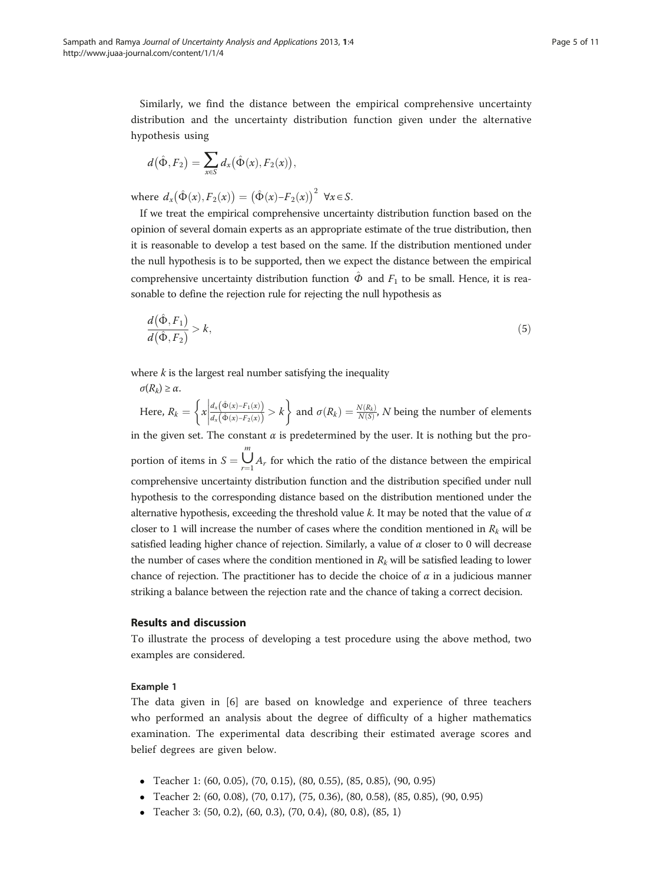Similarly, we find the distance between the empirical comprehensive uncertainty distribution and the uncertainty distribution function given under the alternative hypothesis using

$$
d(\hat{\Phi}, F_2) = \sum_{x \in S} d_x(\hat{\Phi}(x), F_2(x)),
$$

where  $d_x(\hat{\Phi}(x), F_2(x)) = (\hat{\Phi}(x) - F_2(x))^2 \forall x \in S.$ 

If we treat the empirical comprehensive uncertainty distribution function based on the opinion of several domain experts as an appropriate estimate of the true distribution, then it is reasonable to develop a test based on the same. If the distribution mentioned under the null hypothesis is to be supported, then we expect the distance between the empirical comprehensive uncertainty distribution function  $\hat{\varphi}$  and  $F_1$  to be small. Hence, it is reasonable to define the rejection rule for rejecting the null hypothesis as

$$
\frac{d(\hat{\Phi}, F_1)}{d(\hat{\Phi}, F_2)} > k,\tag{5}
$$

where  $k$  is the largest real number satisfying the inequality

 $\sigma(R_k) \geq \alpha$ . Here,  $R_k = \left\{ x \middle| \frac{d_x(\hat{\Phi}(x) - F_1(x))}{d_x(\hat{\Phi}(x) - F_2(x))} \right\} > k$  $\left\{ x \middle| \frac{d_x(\hat{\Phi}(x) - F_1(x))}{d_x(\hat{\Phi}(x) - F_2(x))} > k \right\}$  and  $\sigma(R_k) = \frac{N(R_k)}{N(S)}$ , N being the number of elements in the given set. The constant  $\alpha$  is predetermined by the user. It is nothing but the proportion of items in  $S = \bigcup_{r=1}^{m}$  $\bigcup_{r=1} A_r$  for which the ratio of the distance between the empirical comprehensive uncertainty distribution function and the distribution specified under null hypothesis to the corresponding distance based on the distribution mentioned under the alternative hypothesis, exceeding the threshold value k. It may be noted that the value of  $\alpha$ closer to 1 will increase the number of cases where the condition mentioned in  $R_k$  will be

satisfied leading higher chance of rejection. Similarly, a value of  $\alpha$  closer to 0 will decrease the number of cases where the condition mentioned in  $R_k$  will be satisfied leading to lower chance of rejection. The practitioner has to decide the choice of  $\alpha$  in a judicious manner striking a balance between the rejection rate and the chance of taking a correct decision.

### Results and discussion

To illustrate the process of developing a test procedure using the above method, two examples are considered.

#### Example 1

The data given in [\[6](#page-10-0)] are based on knowledge and experience of three teachers who performed an analysis about the degree of difficulty of a higher mathematics examination. The experimental data describing their estimated average scores and belief degrees are given below.

- Teacher 1: (60, 0.05), (70, 0.15), (80, 0.55), (85, 0.85), (90, 0.95)
- Teacher 2: (60, 0.08), (70, 0.17), (75, 0.36), (80, 0.58), (85, 0.85), (90, 0.95)
- Teacher 3: (50, 0.2), (60, 0.3), (70, 0.4), (80, 0.8), (85, 1)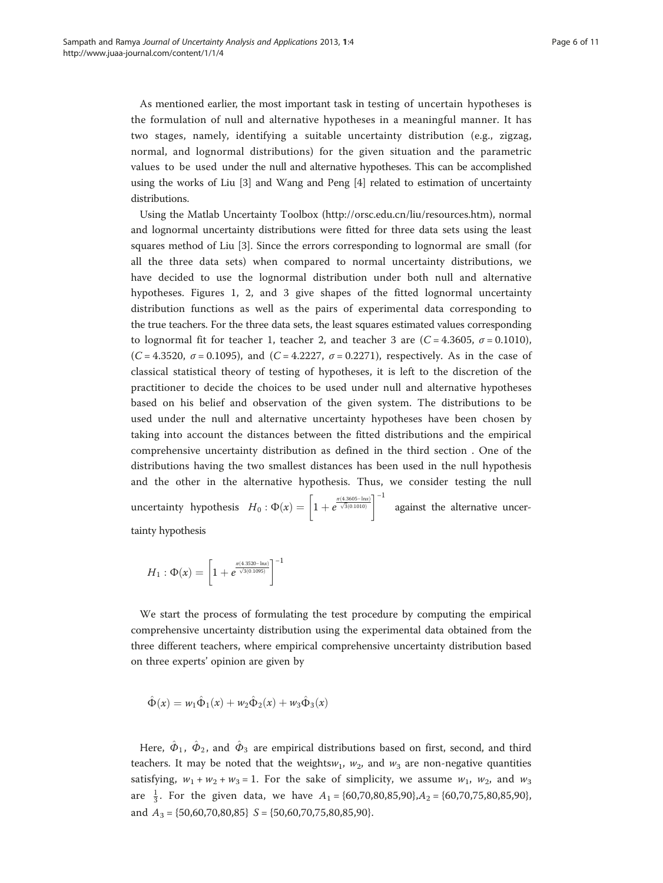As mentioned earlier, the most important task in testing of uncertain hypotheses is the formulation of null and alternative hypotheses in a meaningful manner. It has two stages, namely, identifying a suitable uncertainty distribution (e.g., zigzag, normal, and lognormal distributions) for the given situation and the parametric values to be used under the null and alternative hypotheses. This can be accomplished using the works of Liu [\[3\]](#page-10-0) and Wang and Peng [[4\]](#page-10-0) related to estimation of uncertainty distributions.

Using the Matlab Uncertainty Toolbox ([http://orsc.edu.cn/liu/resources.htm\)](http://orsc.edu.cn/liu/resources.htm), normal and lognormal uncertainty distributions were fitted for three data sets using the least squares method of Liu [\[3\]](#page-10-0). Since the errors corresponding to lognormal are small (for all the three data sets) when compared to normal uncertainty distributions, we have decided to use the lognormal distribution under both null and alternative hypotheses. Figures [1, 2,](#page-6-0) and [3](#page-7-0) give shapes of the fitted lognormal uncertainty distribution functions as well as the pairs of experimental data corresponding to the true teachers. For the three data sets, the least squares estimated values corresponding to lognormal fit for teacher 1, teacher 2, and teacher 3 are  $(C = 4.3605, \sigma = 0.1010)$ , (C = 4.3520,  $\sigma$  = 0.1095), and (C = 4.2227,  $\sigma$  = 0.2271), respectively. As in the case of classical statistical theory of testing of hypotheses, it is left to the discretion of the practitioner to decide the choices to be used under null and alternative hypotheses based on his belief and observation of the given system. The distributions to be used under the null and alternative uncertainty hypotheses have been chosen by taking into account the distances between the fitted distributions and the empirical comprehensive uncertainty distribution as defined in the third section . One of the distributions having the two smallest distances has been used in the null hypothesis and the other in the alternative hypothesis. Thus, we consider testing the null uncertainty hypothesis  $H_0: \Phi(x) = \left[1+e^{\frac{\pi (4.3605- \text{ln}x)}{\sqrt{3}(0.1010)}}\right]^{-1}$  against the alternative uncer-

tainty hypothesis

$$
H_1: \Phi(x) = \left[1+e^{\frac{\pi(4.3520 - \text{ln}x)}{\sqrt{3}(0.1095)}}\right]^{-1}
$$

We start the process of formulating the test procedure by computing the empirical comprehensive uncertainty distribution using the experimental data obtained from the three different teachers, where empirical comprehensive uncertainty distribution based on three experts' opinion are given by

$$
\hat{\Phi}(x) = w_1 \hat{\Phi}_1(x) + w_2 \hat{\Phi}_2(x) + w_3 \hat{\Phi}_3(x)
$$

Here,  $\hat{\Phi}_1$ ,  $\hat{\Phi}_2$ , and  $\hat{\Phi}_3$  are empirical distributions based on first, second, and third teachers. It may be noted that the weights $w_1$ ,  $w_2$ , and  $w_3$  are non-negative quantities satisfying,  $w_1 + w_2 + w_3 = 1$ . For the sake of simplicity, we assume  $w_1$ ,  $w_2$ , and  $w_3$ are  $\frac{1}{3}$ . For the given data, we have  $A_1 = \{60, 70, 80, 85, 90\}, A_2 = \{60, 70, 75, 80, 85, 90\}$ and  $A_3 = \{50,60,70,80,85\}$   $S = \{50,60,70,75,80,85,90\}.$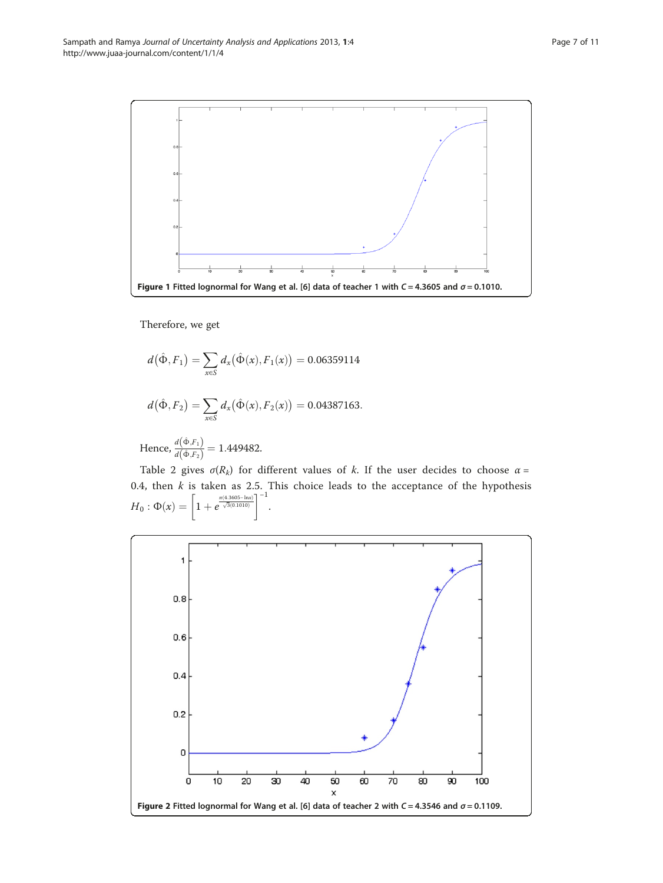<span id="page-6-0"></span>

Therefore, we get

$$
d(\hat{\Phi}, F_1) = \sum_{x \in S} d_x(\hat{\Phi}(x), F_1(x)) = 0.06359114
$$
  

$$
d(\hat{\Phi}, F_2) = \sum_{x \in S} d_x(\hat{\Phi}(x), F_2(x)) = 0.04387163.
$$
  
Hence, 
$$
\frac{d(\hat{\Phi}, F_1)}{d(\hat{\Phi}, F_2)} = 1.449482.
$$

Table [2](#page-7-0) gives  $\sigma(R_k)$  for different values of k. If the user decides to choose  $\alpha$  = 0.4, then  $k$  is taken as 2.5. This choice leads to the acceptance of the hypothesis  $H_0: \Phi(x) = \left[1 + e^{\frac{\pi (4.3605 - \ln x)}{\sqrt{3}(0.1010)}}\right]$  $\left[1+e^{\frac{\pi(4.3605-\text{ln}x)}{\sqrt{3}(0.1010)}}\right.$  $]^{-1}$ .

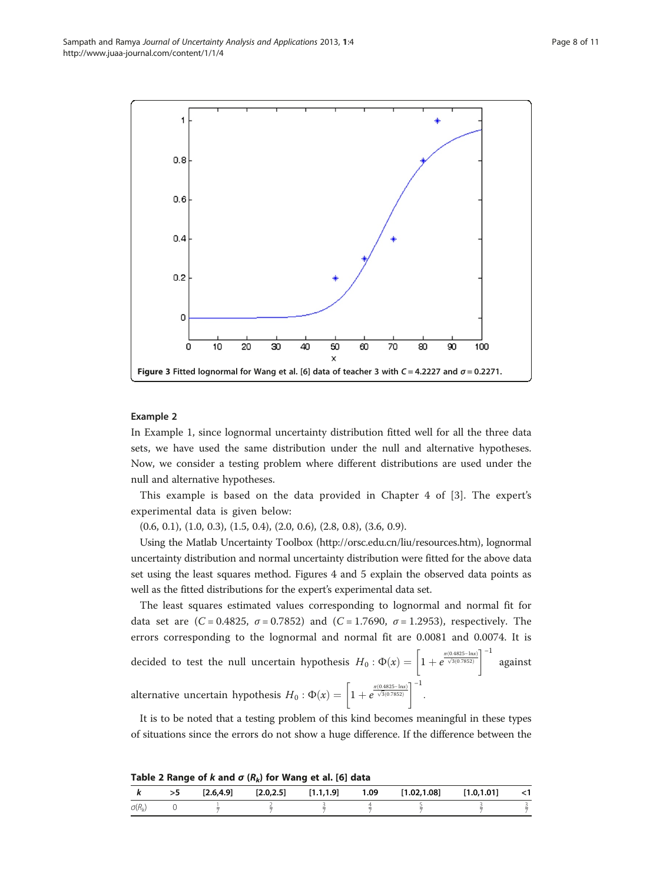<span id="page-7-0"></span>

#### Example 2

In Example 1, since lognormal uncertainty distribution fitted well for all the three data sets, we have used the same distribution under the null and alternative hypotheses. Now, we consider a testing problem where different distributions are used under the null and alternative hypotheses.

This example is based on the data provided in Chapter 4 of [\[3](#page-10-0)]. The expert's experimental data is given below:

(0.6, 0.1), (1.0, 0.3), (1.5, 0.4), (2.0, 0.6), (2.8, 0.8), (3.6, 0.9).

Using the Matlab Uncertainty Toolbox [\(http://orsc.edu.cn/liu/resources.htm\)](http://orsc.edu.cn/liu/resources.htm), lognormal uncertainty distribution and normal uncertainty distribution were fitted for the above data set using the least squares method. Figures [4](#page-8-0) and [5](#page-8-0) explain the observed data points as well as the fitted distributions for the expert's experimental data set.

The least squares estimated values corresponding to lognormal and normal fit for data set are  $(C = 0.4825, \sigma = 0.7852)$  and  $(C = 1.7690, \sigma = 1.2953)$ , respectively. The errors corresponding to the lognormal and normal fit are 0.0081 and 0.0074. It is decided to test the null uncertain hypothesis  $H_0: \Phi(x) = \left[1 + e^{\frac{\pi (0.4825 - \ln x)}{\sqrt{3}(0.7852)}}\right]^{-1}$  against alternative uncertain hypothesis  $H_0$  :  $\Phi(x) = \left[1 + e^{\frac{\pi (0.4825 - \ln x)}{\sqrt{3}(0.7852)}}\right]^{-1}$ .

It is to be noted that a testing problem of this kind becomes meaningful in these types of situations since the errors do not show a huge difference. If the difference between the

Table 2 Range of k and  $\sigma$  ( $R_k$ ) for Wang et al. [[6\]](#page-10-0) data

|               |    |  | -- |  |                                                                     |      |
|---------------|----|--|----|--|---------------------------------------------------------------------|------|
|               | >5 |  |    |  | $[2.6,4.9]$ $[2.0,2.5]$ $[1.1,1.9]$ 1.09 $[1.02,1.08]$ $[1.0,1.01]$ | - <1 |
| $\sigma(R_k)$ |    |  |    |  |                                                                     |      |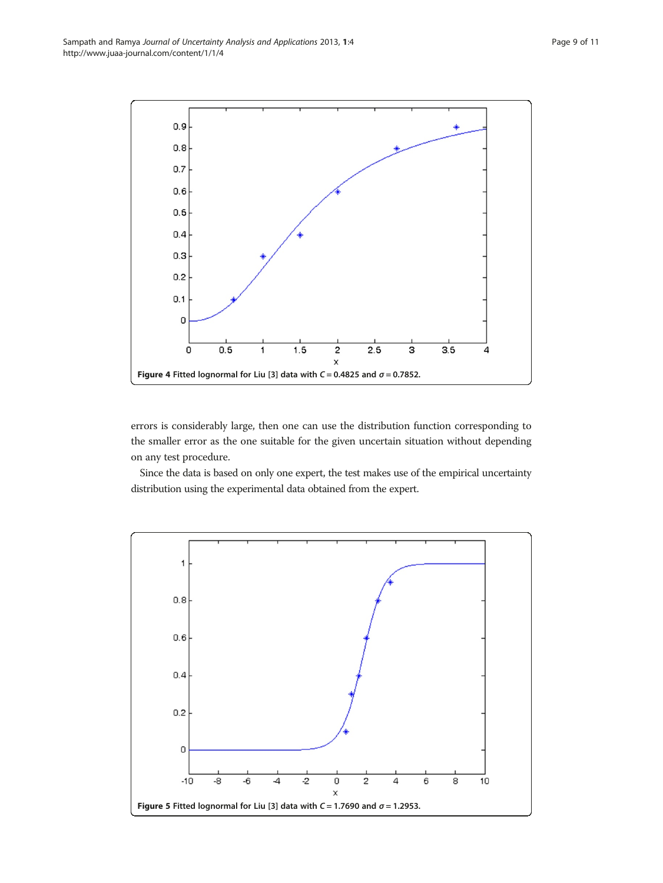<span id="page-8-0"></span>

errors is considerably large, then one can use the distribution function corresponding to the smaller error as the one suitable for the given uncertain situation without depending on any test procedure.

Since the data is based on only one expert, the test makes use of the empirical uncertainty distribution using the experimental data obtained from the expert.

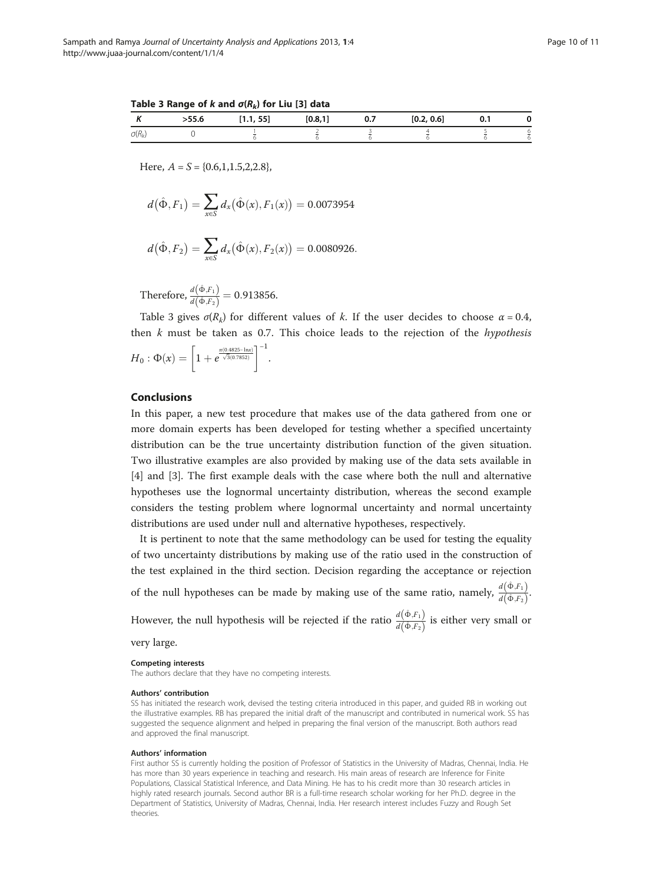Table 3 Range of k and  $\sigma(R_k)$  for Liu [\[3](#page-10-0)] data

|               | -- -<br><b>しんしゅう</b> | FF1<br>. | [0.8, 1] | 0.7 | [0.2, 0.6] | ν.ι |  |
|---------------|----------------------|----------|----------|-----|------------|-----|--|
| $\sigma(R_k)$ |                      |          |          |     |            |     |  |

Here,  $A = S = \{0.6, 1, 1.5, 2, 2.8\}$ 

$$
d(\hat{\Phi}, F_1) = \sum_{x \in S} d_x(\hat{\Phi}(x), F_1(x)) = 0.0073954
$$

$$
d(\hat{\Phi}, F_2) = \sum_{x \in S} d_x(\hat{\Phi}(x), F_2(x)) = 0.0080926.
$$

Therefore,  $\frac{d(\hat{\Phi}, F_1)}{d(\hat{\Phi}, F_1)}$  $\frac{d\mathbf{r}(\mathbf{r},t_1)}{d(\hat{\Phi},F_2)} = 0.913856.$ 

Table 3 gives  $\sigma(R_k)$  for different values of k. If the user decides to choose  $\alpha = 0.4$ , then  $k$  must be taken as 0.7. This choice leads to the rejection of the *hypothesis* 

$$
H_0: \Phi(x) = \left[1 + e^{\frac{\pi (0.4825 - \ln x)}{\sqrt{3}(0.7852)}}\right]^{-1}.
$$

#### Conclusions

In this paper, a new test procedure that makes use of the data gathered from one or more domain experts has been developed for testing whether a specified uncertainty distribution can be the true uncertainty distribution function of the given situation. Two illustrative examples are also provided by making use of the data sets available in [[4\]](#page-10-0) and [[3](#page-10-0)]. The first example deals with the case where both the null and alternative hypotheses use the lognormal uncertainty distribution, whereas the second example considers the testing problem where lognormal uncertainty and normal uncertainty distributions are used under null and alternative hypotheses, respectively.

It is pertinent to note that the same methodology can be used for testing the equality of two uncertainty distributions by making use of the ratio used in the construction of the test explained in the third section. Decision regarding the acceptance or rejection of the null hypotheses can be made by making use of the same ratio, namely,  $\frac{d(\hat{\Phi}, F_1)}{d(\hat{\Phi}, F_1)}$  $\frac{d(\Phi, F_1)}{d(\hat{\Phi}, F_2)}$ However, the null hypothesis will be rejected if the ratio  $\frac{d(\hat{\Phi}, F_1)}{d(\hat{\Phi}, F_1)}$  $\frac{d\mathbf{F}(\mathbf{x},\mathbf{F}_1)}{d(\hat{\Phi},F_2)}$  is either very small or very large.

## Competing interests

The authors declare that they have no competing interests.

#### Authors' contribution

SS has initiated the research work, devised the testing criteria introduced in this paper, and guided RB in working out the illustrative examples. RB has prepared the initial draft of the manuscript and contributed in numerical work. SS has suggested the sequence alignment and helped in preparing the final version of the manuscript. Both authors read and approved the final manuscript.

#### Authors' information

First author SS is currently holding the position of Professor of Statistics in the University of Madras, Chennai, India. He has more than 30 years experience in teaching and research. His main areas of research are Inference for Finite Populations, Classical Statistical Inference, and Data Mining. He has to his credit more than 30 research articles in highly rated research journals. Second author BR is a full-time research scholar working for her Ph.D. degree in the Department of Statistics, University of Madras, Chennai, India. Her research interest includes Fuzzy and Rough Set theories.